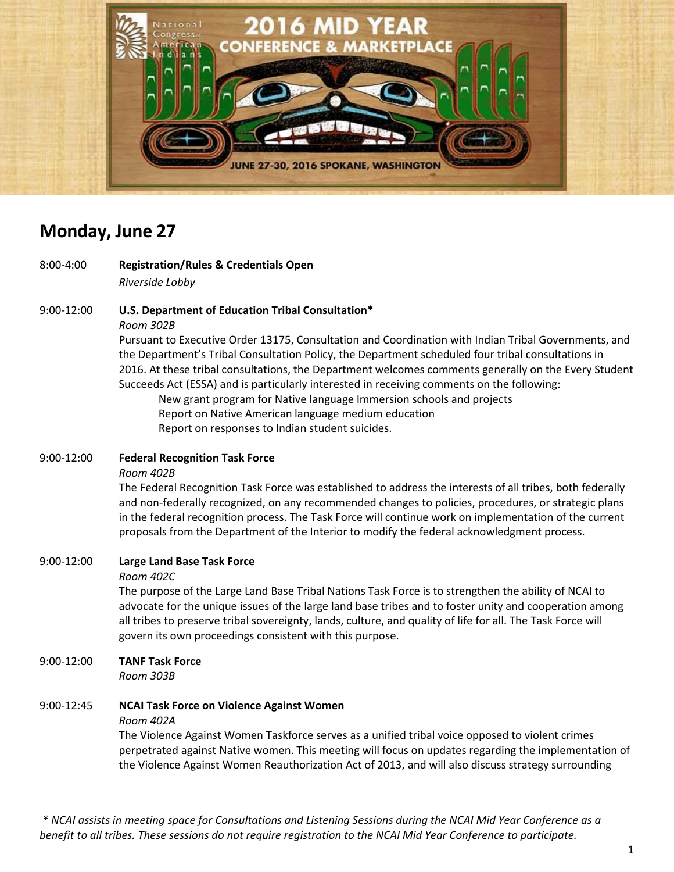

# **Monday, June 27**

8:00-4:00 **Registration/Rules & Credentials Open** *Riverside Lobby* 

9:00-12:00 **U.S. Department of Education Tribal Consultation\***

*Room 302B*

Pursuant to Executive Order 13175, Consultation and Coordination with Indian Tribal Governments, and the Department's Tribal Consultation Policy, the Department scheduled four tribal consultations in 2016. At these tribal consultations, the Department welcomes comments generally on the Every Student Succeeds Act (ESSA) and is particularly interested in receiving comments on the following:

New grant program for Native language Immersion schools and projects Report on Native American language medium education Report on responses to Indian student suicides.

#### 9:00-12:00 **Federal Recognition Task Force**

#### *Room 402B*

The Federal Recognition Task Force was established to address the interests of all tribes, both federally and non-federally recognized, on any recommended changes to policies, procedures, or strategic plans in the federal recognition process. The Task Force will continue work on implementation of the current proposals from the Department of the Interior to modify the federal acknowledgment process.

#### 9:00-12:00 **Large Land Base Task Force**

*Room 402C*

The purpose of the Large Land Base Tribal Nations Task Force is to strengthen the ability of NCAI to advocate for the unique issues of the large land base tribes and to foster unity and cooperation among all tribes to preserve tribal sovereignty, lands, culture, and quality of life for all. The Task Force will govern its own proceedings consistent with this purpose.

9:00-12:00 **TANF Task Force**

*Room 303B*

# 9:00-12:45 **NCAI Task Force on Violence Against Women**

*Room 402A*

The Violence Against Women Taskforce serves as a unified tribal voice opposed to violent crimes perpetrated against Native women. This meeting will focus on updates regarding the implementation of the Violence Against Women Reauthorization Act of 2013, and will also discuss strategy surrounding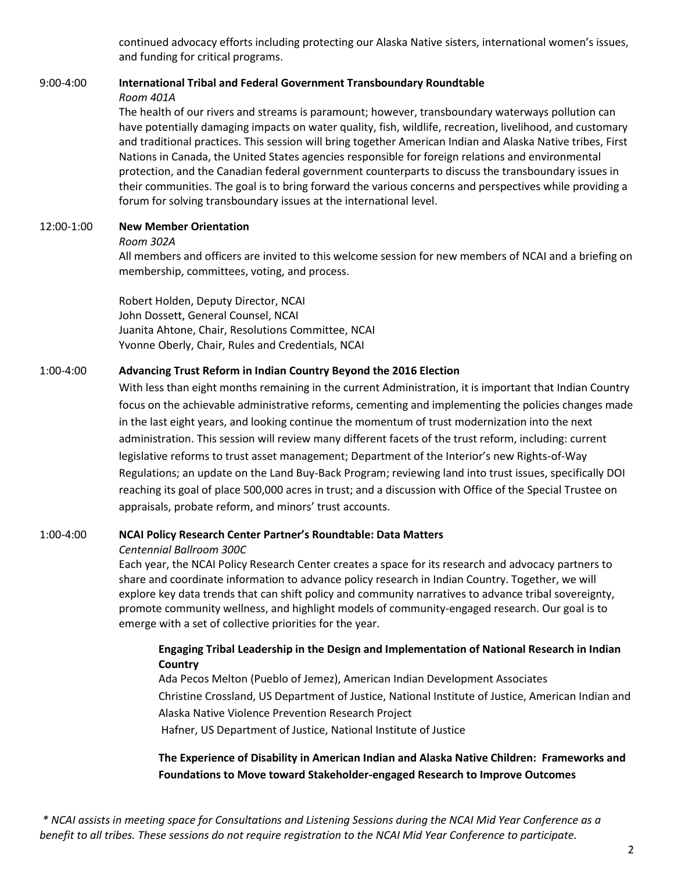continued advocacy efforts including protecting our Alaska Native sisters, international women's issues, and funding for critical programs.

# 9:00-4:00 **International Tribal and Federal Government Transboundary Roundtable** *Room 401A*

The health of our rivers and streams is paramount; however, transboundary waterways pollution can have potentially damaging impacts on water quality, fish, wildlife, recreation, livelihood, and customary and traditional practices. This session will bring together American Indian and Alaska Native tribes, First Nations in Canada, the United States agencies responsible for foreign relations and environmental protection, and the Canadian federal government counterparts to discuss the transboundary issues in their communities. The goal is to bring forward the various concerns and perspectives while providing a forum for solving transboundary issues at the international level.

## 12:00-1:00 **New Member Orientation**

#### *Room 302A*

All members and officers are invited to this welcome session for new members of NCAI and a briefing on membership, committees, voting, and process.

Robert Holden, Deputy Director, NCAI John Dossett, General Counsel, NCAI Juanita Ahtone, Chair, Resolutions Committee, NCAI Yvonne Oberly, Chair, Rules and Credentials, NCAI

#### 1:00-4:00 **Advancing Trust Reform in Indian Country Beyond the 2016 Election**

With less than eight months remaining in the current Administration, it is important that Indian Country focus on the achievable administrative reforms, cementing and implementing the policies changes made in the last eight years, and looking continue the momentum of trust modernization into the next administration. This session will review many different facets of the trust reform, including: current legislative reforms to trust asset management; Department of the Interior's new Rights-of-Way Regulations; an update on the Land Buy-Back Program; reviewing land into trust issues, specifically DOI reaching its goal of place 500,000 acres in trust; and a discussion with Office of the Special Trustee on appraisals, probate reform, and minors' trust accounts.

#### 1:00-4:00 **NCAI Policy Research Center Partner's Roundtable: Data Matters**

#### *Centennial Ballroom 300C*

Each year, the NCAI Policy Research Center creates a space for its research and advocacy partners to share and coordinate information to advance policy research in Indian Country. Together, we will explore key data trends that can shift policy and community narratives to advance tribal sovereignty, promote community wellness, and highlight models of community-engaged research. Our goal is to emerge with a set of collective priorities for the year.

## **Engaging Tribal Leadership in the Design and Implementation of National Research in Indian Country**

Ada Pecos Melton (Pueblo of Jemez), American Indian Development Associates Christine Crossland, US Department of Justice, National Institute of Justice, American Indian and Alaska Native Violence Prevention Research Project Hafner, US Department of Justice, National Institute of Justice

# **The Experience of Disability in American Indian and Alaska Native Children: Frameworks and Foundations to Move toward Stakeholder-engaged Research to Improve Outcomes**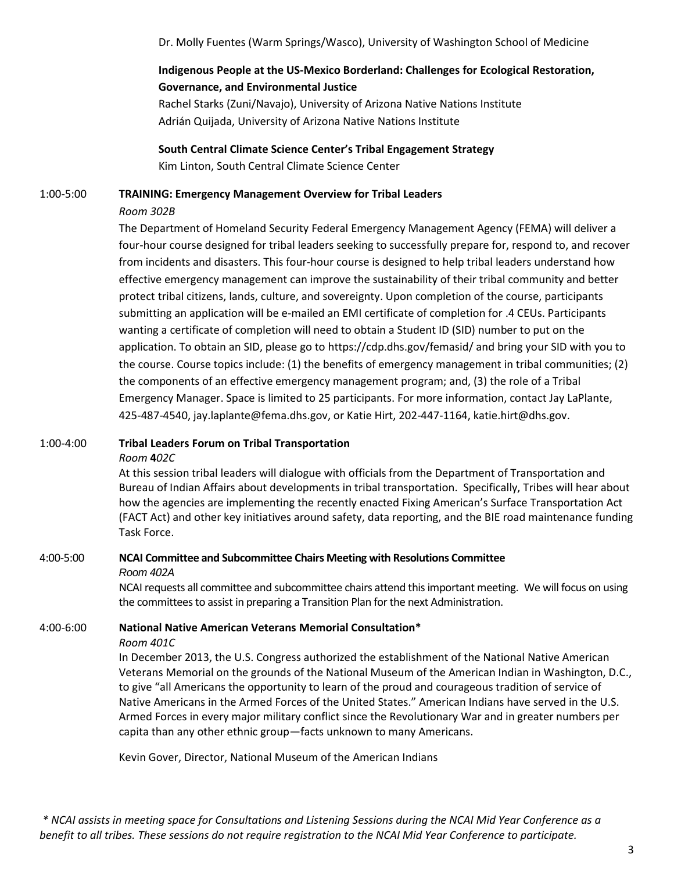Dr. Molly Fuentes (Warm Springs/Wasco), University of Washington School of Medicine

# **Indigenous People at the US-Mexico Borderland: Challenges for Ecological Restoration, Governance, and Environmental Justice**

Rachel Starks (Zuni/Navajo), University of Arizona Native Nations Institute Adrián Quijada, University of Arizona Native Nations Institute

**South Central Climate Science Center's Tribal Engagement Strategy** Kim Linton, South Central Climate Science Center

#### 1:00-5:00 **TRAINING: Emergency Management Overview for Tribal Leaders**

#### *Room 302B*

The Department of Homeland Security Federal Emergency Management Agency (FEMA) will deliver a four-hour course designed for tribal leaders seeking to successfully prepare for, respond to, and recover from incidents and disasters. This four-hour course is designed to help tribal leaders understand how effective emergency management can improve the sustainability of their tribal community and better protect tribal citizens, lands, culture, and sovereignty. Upon completion of the course, participants submitting an application will be e-mailed an EMI certificate of completion for .4 CEUs. Participants wanting a certificate of completion will need to obtain a Student ID (SID) number to put on the application. To obtain an SID, please go to https://cdp.dhs.gov/femasid/ and bring your SID with you to the course. Course topics include: (1) the benefits of emergency management in tribal communities; (2) the components of an effective emergency management program; and, (3) the role of a Tribal Emergency Manager. Space is limited to 25 participants. For more information, contact Jay LaPlante, 425-487-4540, jay.laplante@fema.dhs.gov, or Katie Hirt, 202-447-1164, katie.hirt@dhs.gov.

#### 1:00-4:00 **Tribal Leaders Forum on Tribal Transportation**

#### *Room* **4***02C*

At this session tribal leaders will dialogue with officials from the Department of Transportation and Bureau of Indian Affairs about developments in tribal transportation. Specifically, Tribes will hear about how the agencies are implementing the recently enacted Fixing American's Surface Transportation Act (FACT Act) and other key initiatives around safety, data reporting, and the BIE road maintenance funding Task Force.

# 4:00-5:00 **NCAI Committee and Subcommittee Chairs Meeting with Resolutions Committee**

*Room 402A*

NCAI requests all committee and subcommittee chairs attend this important meeting. We will focus on using the committees to assist in preparing a Transition Plan for the next Administration.

# 4:00-6:00 **National Native American Veterans Memorial Consultation\***

#### *Room 401C*

In December 2013, the U.S. Congress authorized the establishment of the National Native American Veterans Memorial on the grounds of the National Museum of the American Indian in Washington, D.C., to give "all Americans the opportunity to learn of the proud and courageous tradition of service of Native Americans in the Armed Forces of the United States." American Indians have served in the U.S. Armed Forces in every major military conflict since the Revolutionary War and in greater numbers per capita than any other ethnic group—facts unknown to many Americans.

Kevin Gover, Director, National Museum of the American Indians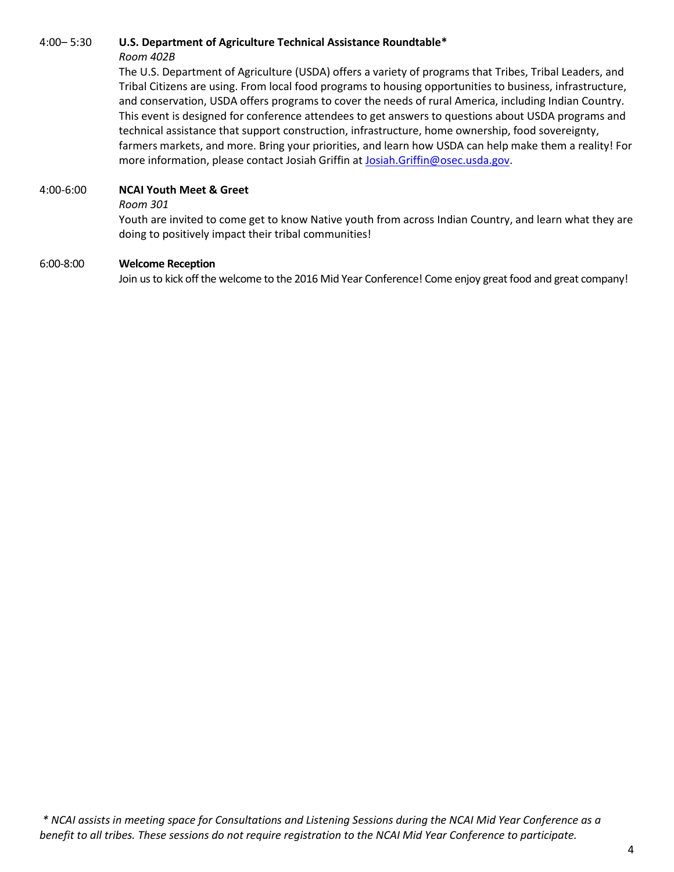# 4:00– 5:30 **U.S. Department of Agriculture Technical Assistance Roundtable\***

#### *Room 402B*

The U.S. Department of Agriculture (USDA) offers a variety of programs that Tribes, Tribal Leaders, and Tribal Citizens are using. From local food programs to housing opportunities to business, infrastructure, and conservation, USDA offers programs to cover the needs of rural America, including Indian Country. This event is designed for conference attendees to get answers to questions about USDA programs and technical assistance that support construction, infrastructure, home ownership, food sovereignty, farmers markets, and more. Bring your priorities, and learn how USDA can help make them a reality! For more information, please contact Josiah Griffin at [Josiah.Griffin@osec.usda.gov.](mailto:Josiah.Griffin@osec.usda.gov)

#### 4:00-6:00 **NCAI Youth Meet & Greet**

#### *Room 301*

Youth are invited to come get to know Native youth from across Indian Country, and learn what they are doing to positively impact their tribal communities!

#### 6:00-8:00 **Welcome Reception**

Join us to kick off the welcome to the 2016 Mid Year Conference! Come enjoy great food and great company!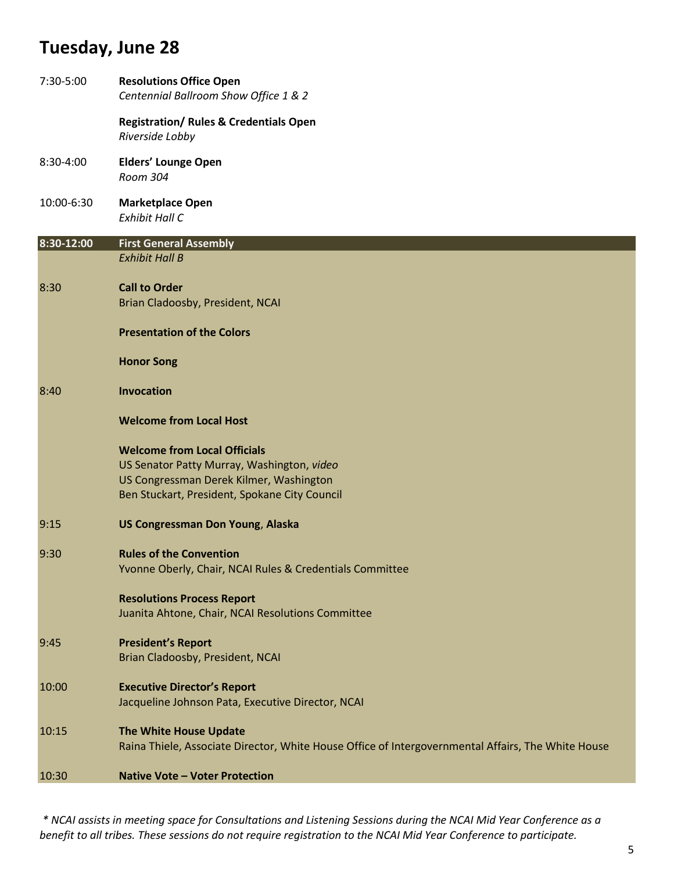# **Tuesday, June 28**

| <b>Registration/ Rules &amp; Credentials Open</b><br>Riverside Lobby<br><b>Elders' Lounge Open</b><br>8:30-4:00<br>Room 304<br>10:00-6:30<br><b>Marketplace Open</b><br><b>Exhibit Hall C</b><br><b>First General Assembly</b><br><b>Exhibit Hall B</b><br><b>Call to Order</b><br>8:30<br>Brian Cladoosby, President, NCAI<br><b>Presentation of the Colors</b><br><b>Honor Song</b><br>Invocation<br>8:40<br><b>Welcome from Local Host</b><br><b>Welcome from Local Officials</b><br>US Senator Patty Murray, Washington, video<br>US Congressman Derek Kilmer, Washington<br>Ben Stuckart, President, Spokane City Council<br><b>US Congressman Don Young, Alaska</b><br><b>Rules of the Convention</b><br>9:30<br>Yvonne Oberly, Chair, NCAI Rules & Credentials Committee<br><b>Resolutions Process Report</b><br>Juanita Ahtone, Chair, NCAI Resolutions Committee<br><b>President's Report</b><br>Brian Cladoosby, President, NCAI<br><b>Executive Director's Report</b><br>10:00<br>Jacqueline Johnson Pata, Executive Director, NCAI<br>The White House Update<br>10:15<br>Raina Thiele, Associate Director, White House Office of Intergovernmental Affairs, The White House<br><b>Native Vote - Voter Protection</b> | 7:30-5:00  | <b>Resolutions Office Open</b><br>Centennial Ballroom Show Office 1 & 2 |
|----------------------------------------------------------------------------------------------------------------------------------------------------------------------------------------------------------------------------------------------------------------------------------------------------------------------------------------------------------------------------------------------------------------------------------------------------------------------------------------------------------------------------------------------------------------------------------------------------------------------------------------------------------------------------------------------------------------------------------------------------------------------------------------------------------------------------------------------------------------------------------------------------------------------------------------------------------------------------------------------------------------------------------------------------------------------------------------------------------------------------------------------------------------------------------------------------------------------------------|------------|-------------------------------------------------------------------------|
|                                                                                                                                                                                                                                                                                                                                                                                                                                                                                                                                                                                                                                                                                                                                                                                                                                                                                                                                                                                                                                                                                                                                                                                                                                  |            |                                                                         |
|                                                                                                                                                                                                                                                                                                                                                                                                                                                                                                                                                                                                                                                                                                                                                                                                                                                                                                                                                                                                                                                                                                                                                                                                                                  |            |                                                                         |
|                                                                                                                                                                                                                                                                                                                                                                                                                                                                                                                                                                                                                                                                                                                                                                                                                                                                                                                                                                                                                                                                                                                                                                                                                                  |            |                                                                         |
|                                                                                                                                                                                                                                                                                                                                                                                                                                                                                                                                                                                                                                                                                                                                                                                                                                                                                                                                                                                                                                                                                                                                                                                                                                  | 8:30-12:00 |                                                                         |
|                                                                                                                                                                                                                                                                                                                                                                                                                                                                                                                                                                                                                                                                                                                                                                                                                                                                                                                                                                                                                                                                                                                                                                                                                                  |            |                                                                         |
|                                                                                                                                                                                                                                                                                                                                                                                                                                                                                                                                                                                                                                                                                                                                                                                                                                                                                                                                                                                                                                                                                                                                                                                                                                  |            |                                                                         |
|                                                                                                                                                                                                                                                                                                                                                                                                                                                                                                                                                                                                                                                                                                                                                                                                                                                                                                                                                                                                                                                                                                                                                                                                                                  |            |                                                                         |
|                                                                                                                                                                                                                                                                                                                                                                                                                                                                                                                                                                                                                                                                                                                                                                                                                                                                                                                                                                                                                                                                                                                                                                                                                                  |            |                                                                         |
|                                                                                                                                                                                                                                                                                                                                                                                                                                                                                                                                                                                                                                                                                                                                                                                                                                                                                                                                                                                                                                                                                                                                                                                                                                  |            |                                                                         |
|                                                                                                                                                                                                                                                                                                                                                                                                                                                                                                                                                                                                                                                                                                                                                                                                                                                                                                                                                                                                                                                                                                                                                                                                                                  |            |                                                                         |
|                                                                                                                                                                                                                                                                                                                                                                                                                                                                                                                                                                                                                                                                                                                                                                                                                                                                                                                                                                                                                                                                                                                                                                                                                                  |            |                                                                         |
|                                                                                                                                                                                                                                                                                                                                                                                                                                                                                                                                                                                                                                                                                                                                                                                                                                                                                                                                                                                                                                                                                                                                                                                                                                  |            |                                                                         |
|                                                                                                                                                                                                                                                                                                                                                                                                                                                                                                                                                                                                                                                                                                                                                                                                                                                                                                                                                                                                                                                                                                                                                                                                                                  |            |                                                                         |
|                                                                                                                                                                                                                                                                                                                                                                                                                                                                                                                                                                                                                                                                                                                                                                                                                                                                                                                                                                                                                                                                                                                                                                                                                                  | 9:15       |                                                                         |
|                                                                                                                                                                                                                                                                                                                                                                                                                                                                                                                                                                                                                                                                                                                                                                                                                                                                                                                                                                                                                                                                                                                                                                                                                                  |            |                                                                         |
|                                                                                                                                                                                                                                                                                                                                                                                                                                                                                                                                                                                                                                                                                                                                                                                                                                                                                                                                                                                                                                                                                                                                                                                                                                  |            |                                                                         |
|                                                                                                                                                                                                                                                                                                                                                                                                                                                                                                                                                                                                                                                                                                                                                                                                                                                                                                                                                                                                                                                                                                                                                                                                                                  | 9:45       |                                                                         |
|                                                                                                                                                                                                                                                                                                                                                                                                                                                                                                                                                                                                                                                                                                                                                                                                                                                                                                                                                                                                                                                                                                                                                                                                                                  |            |                                                                         |
|                                                                                                                                                                                                                                                                                                                                                                                                                                                                                                                                                                                                                                                                                                                                                                                                                                                                                                                                                                                                                                                                                                                                                                                                                                  |            |                                                                         |
|                                                                                                                                                                                                                                                                                                                                                                                                                                                                                                                                                                                                                                                                                                                                                                                                                                                                                                                                                                                                                                                                                                                                                                                                                                  | 10:30      |                                                                         |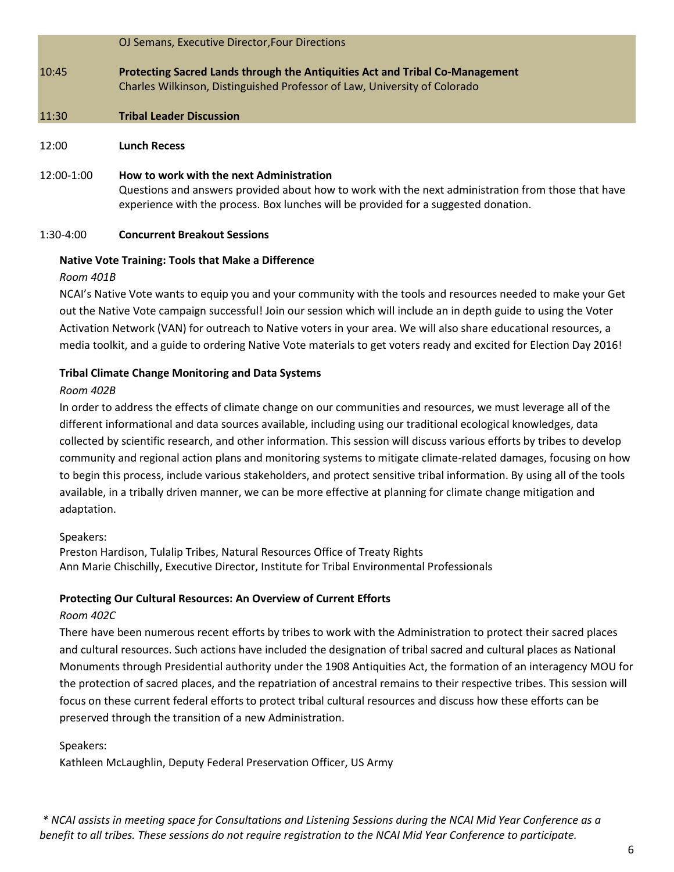|              | OJ Semans, Executive Director, Four Directions                                                                                                                                                                                        |
|--------------|---------------------------------------------------------------------------------------------------------------------------------------------------------------------------------------------------------------------------------------|
| 10:45        | Protecting Sacred Lands through the Antiquities Act and Tribal Co-Management<br>Charles Wilkinson, Distinguished Professor of Law, University of Colorado                                                                             |
| 11:30        | <b>Tribal Leader Discussion</b>                                                                                                                                                                                                       |
| 12:00        | <b>Lunch Recess</b>                                                                                                                                                                                                                   |
| $12:00-1:00$ | How to work with the next Administration<br>Questions and answers provided about how to work with the next administration from those that have<br>experience with the process. Box lunches will be provided for a suggested donation. |

#### 1:30-4:00 **Concurrent Breakout Sessions**

#### **Native Vote Training: Tools that Make a Difference**

#### *Room 401B*

NCAI's Native Vote wants to equip you and your community with the tools and resources needed to make your Get out the Native Vote campaign successful! Join our session which will include an in depth guide to using the Voter Activation Network (VAN) for outreach to Native voters in your area. We will also share educational resources, a media toolkit, and a guide to ordering Native Vote materials to get voters ready and excited for Election Day 2016!

#### **Tribal Climate Change Monitoring and Data Systems**

#### *Room 402B*

In order to address the effects of climate change on our communities and resources, we must leverage all of the different informational and data sources available, including using our traditional ecological knowledges, data collected by scientific research, and other information. This session will discuss various efforts by tribes to develop community and regional action plans and monitoring systems to mitigate climate-related damages, focusing on how to begin this process, include various stakeholders, and protect sensitive tribal information. By using all of the tools available, in a tribally driven manner, we can be more effective at planning for climate change mitigation and adaptation.

#### Speakers:

Preston Hardison, Tulalip Tribes, Natural Resources Office of Treaty Rights Ann Marie Chischilly, Executive Director, Institute for Tribal Environmental Professionals

#### **Protecting Our Cultural Resources: An Overview of Current Efforts**

#### *Room 402C*

There have been numerous recent efforts by tribes to work with the Administration to protect their sacred places and cultural resources. Such actions have included the designation of tribal sacred and cultural places as National Monuments through Presidential authority under the 1908 Antiquities Act, the formation of an interagency MOU for the protection of sacred places, and the repatriation of ancestral remains to their respective tribes. This session will focus on these current federal efforts to protect tribal cultural resources and discuss how these efforts can be preserved through the transition of a new Administration.

#### Speakers:

Kathleen McLaughlin, Deputy Federal Preservation Officer, US Army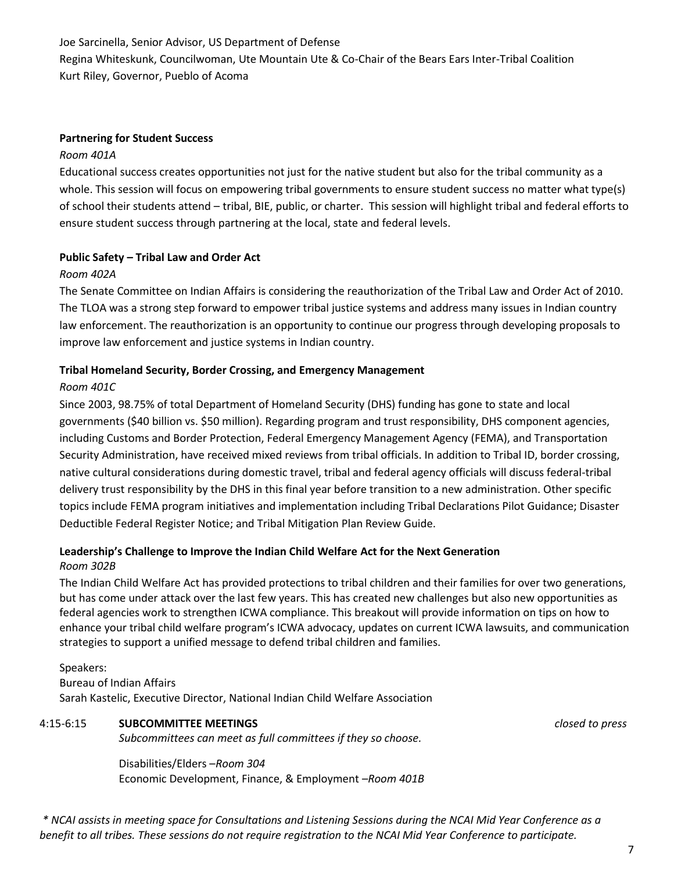Joe Sarcinella, Senior Advisor, US Department of Defense Regina Whiteskunk, Councilwoman, Ute Mountain Ute & Co-Chair of the Bears Ears Inter-Tribal Coalition Kurt Riley, Governor, Pueblo of Acoma

#### **Partnering for Student Success**

#### *Room 401A*

Educational success creates opportunities not just for the native student but also for the tribal community as a whole. This session will focus on empowering tribal governments to ensure student success no matter what type(s) of school their students attend – tribal, BIE, public, or charter. This session will highlight tribal and federal efforts to ensure student success through partnering at the local, state and federal levels.

#### **Public Safety – Tribal Law and Order Act**

#### *Room 402A*

The Senate Committee on Indian Affairs is considering the reauthorization of the Tribal Law and Order Act of 2010. The TLOA was a strong step forward to empower tribal justice systems and address many issues in Indian country law enforcement. The reauthorization is an opportunity to continue our progress through developing proposals to improve law enforcement and justice systems in Indian country.

#### **Tribal Homeland Security, Border Crossing, and Emergency Management**

#### *Room 401C*

Since 2003, 98.75% of total Department of Homeland Security (DHS) funding has gone to state and local governments (\$40 billion vs. \$50 million). Regarding program and trust responsibility, DHS component agencies, including Customs and Border Protection, Federal Emergency Management Agency (FEMA), and Transportation Security Administration, have received mixed reviews from tribal officials. In addition to Tribal ID, border crossing, native cultural considerations during domestic travel, tribal and federal agency officials will discuss federal-tribal delivery trust responsibility by the DHS in this final year before transition to a new administration. Other specific topics include FEMA program initiatives and implementation including Tribal Declarations Pilot Guidance; Disaster Deductible Federal Register Notice; and Tribal Mitigation Plan Review Guide.

#### **Leadership's Challenge to Improve the Indian Child Welfare Act for the Next Generation** *Room 302B*

The Indian Child Welfare Act has provided protections to tribal children and their families for over two generations, but has come under attack over the last few years. This has created new challenges but also new opportunities as federal agencies work to strengthen ICWA compliance. This breakout will provide information on tips on how to enhance your tribal child welfare program's ICWA advocacy, updates on current ICWA lawsuits, and communication strategies to support a unified message to defend tribal children and families.

#### Speakers: Bureau of Indian Affairs Sarah Kastelic, Executive Director, National Indian Child Welfare Association

#### 4:15-6:15 **SUBCOMMITTEE MEETINGS** *closed to press*

*Subcommittees can meet as full committees if they so choose.* 

Disabilities/Elders –*Room 304* Economic Development, Finance, & Employment –*Room 401B*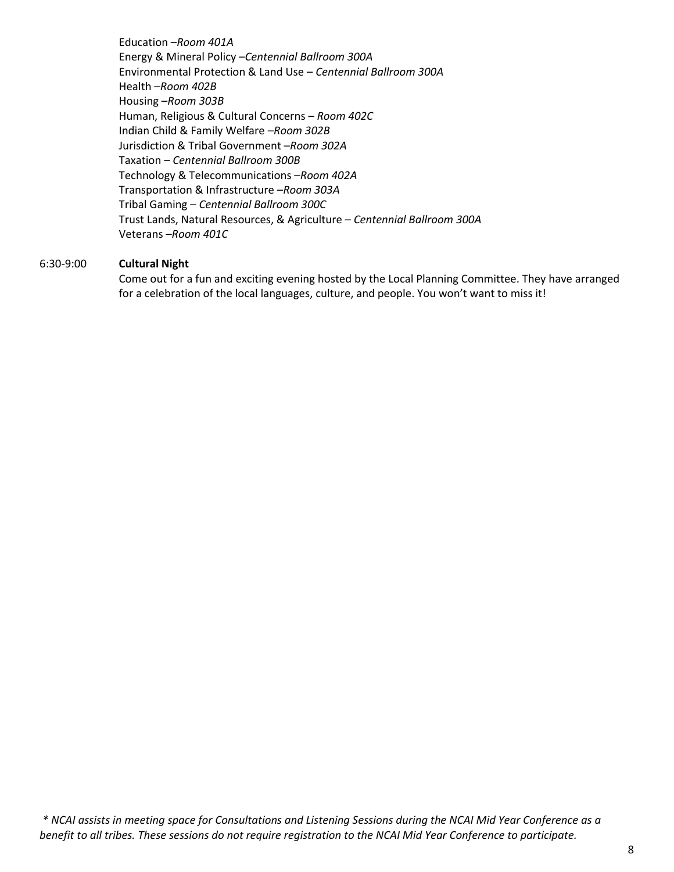Education –*Room 401A* Energy & Mineral Policy –*Centennial Ballroom 300A* Environmental Protection & Land Use – *Centennial Ballroom 300A* Health –*Room 402B* Housing –*Room 303B* Human, Religious & Cultural Concerns – *Room 402C* Indian Child & Family Welfare –*Room 302B* Jurisdiction & Tribal Government –*Room 302A* Taxation – *Centennial Ballroom 300B* Technology & Telecommunications –*Room 402A* Transportation & Infrastructure –*Room 303A* Tribal Gaming – *Centennial Ballroom 300C* Trust Lands, Natural Resources, & Agriculture – *Centennial Ballroom 300A* Veterans –*Room 401C*

#### 6:30-9:00 **Cultural Night**

Come out for a fun and exciting evening hosted by the Local Planning Committee. They have arranged for a celebration of the local languages, culture, and people. You won't want to miss it!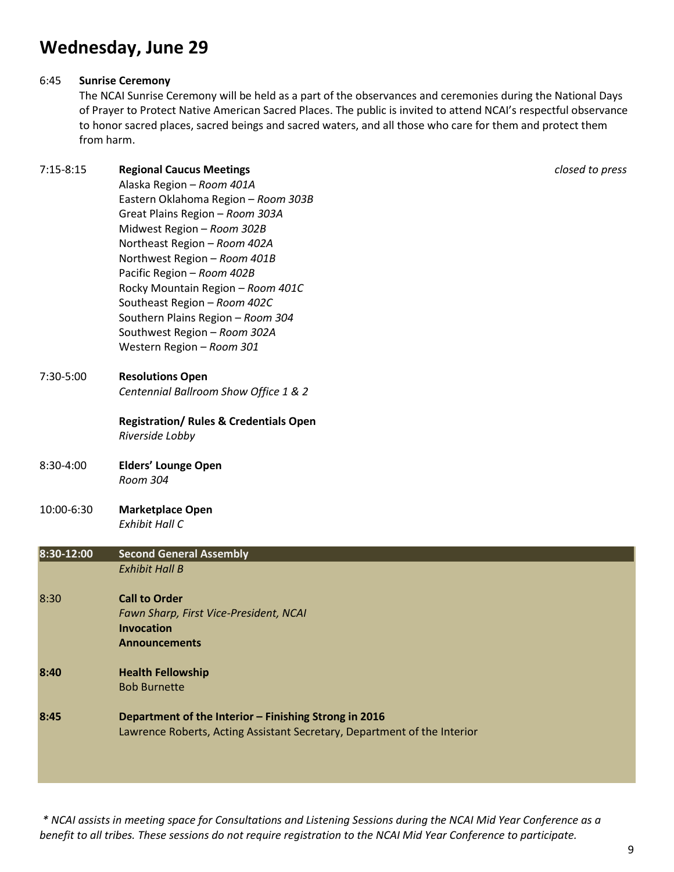# **Wednesday, June 29**

#### 6:45 **Sunrise Ceremony**

The NCAI Sunrise Ceremony will be held as a part of the observances and ceremonies during the National Days of Prayer to Protect Native American Sacred Places. The public is invited to attend NCAI's respectful observance to honor sacred places, sacred beings and sacred waters, and all those who care for them and protect them from harm.

7:15-8:15 **Regional Caucus Meetings** *closed to press* 

|            | Alaska Region - Room 401A                                                |
|------------|--------------------------------------------------------------------------|
|            | Eastern Oklahoma Region - Room 303B                                      |
|            | Great Plains Region - Room 303A                                          |
|            | Midwest Region - Room 302B                                               |
|            | Northeast Region - Room 402A                                             |
|            | Northwest Region - Room 401B                                             |
|            | Pacific Region - Room 402B                                               |
|            | Rocky Mountain Region - Room 401C                                        |
|            | Southeast Region - Room 402C                                             |
|            | Southern Plains Region - Room 304                                        |
|            | Southwest Region - Room 302A                                             |
|            | Western Region - Room 301                                                |
| 7:30-5:00  | <b>Resolutions Open</b>                                                  |
|            | Centennial Ballroom Show Office 1 & 2                                    |
|            | <b>Registration/ Rules &amp; Credentials Open</b>                        |
|            | Riverside Lobby                                                          |
| 8:30-4:00  | <b>Elders' Lounge Open</b>                                               |
|            | Room 304                                                                 |
| 10:00-6:30 | <b>Marketplace Open</b>                                                  |
|            | <b>Exhibit Hall C</b>                                                    |
| 8:30-12:00 | <b>Second General Assembly</b>                                           |
|            | <b>Exhibit Hall B</b>                                                    |
| 8:30       | <b>Call to Order</b>                                                     |
|            | Fawn Sharp, First Vice-President, NCAI                                   |
|            | <b>Invocation</b>                                                        |
|            | <b>Announcements</b>                                                     |
| 8:40       | <b>Health Fellowship</b>                                                 |
|            | <b>Bob Burnette</b>                                                      |
| 8:45       | Department of the Interior - Finishing Strong in 2016                    |
|            | Lawrence Roberts, Acting Assistant Secretary, Department of the Interior |
|            |                                                                          |
|            |                                                                          |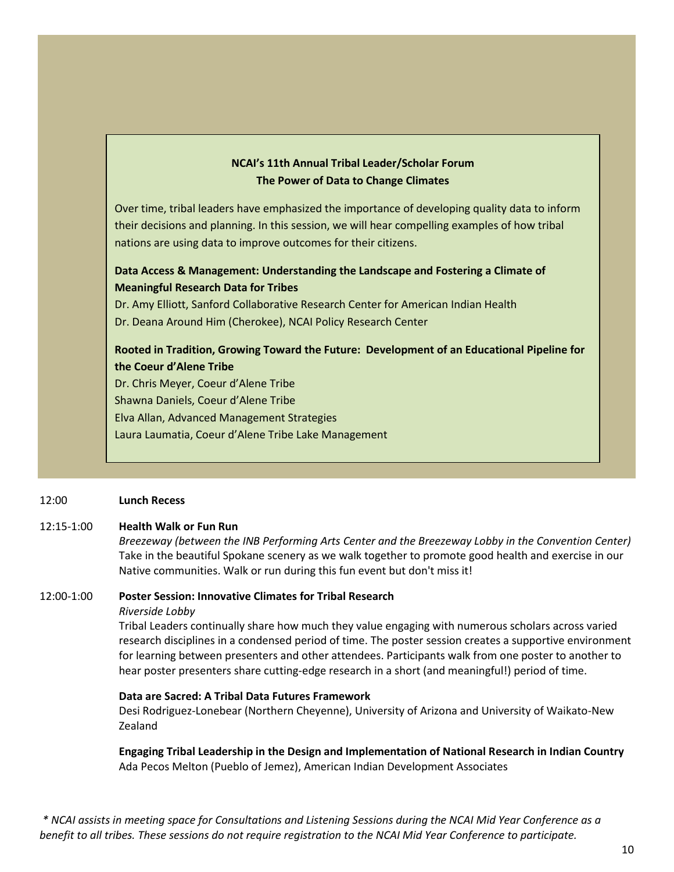#### **NCAI's 11th Annual Tribal Leader/Scholar Forum The Power of Data to Change Climates**

Over time, tribal leaders have emphasized the importance of developing quality data to inform their decisions and planning. In this session, we will hear compelling examples of how tribal nations are using data to improve outcomes for their citizens.

# **Data Access & Management: Understanding the Landscape and Fostering a Climate of Meaningful Research Data for Tribes**

Dr. Amy Elliott, Sanford Collaborative Research Center for American Indian Health Dr. Deana Around Him (Cherokee), NCAI Policy Research Center

# **Rooted in Tradition, Growing Toward the Future: Development of an Educational Pipeline for the Coeur d'Alene Tribe**

Dr. Chris Meyer, Coeur d'Alene Tribe Shawna Daniels, Coeur d'Alene Tribe Elva Allan, Advanced Management Strategies Laura Laumatia, Coeur d'Alene Tribe Lake Management

#### 12:00 **Lunch Recess**

#### 12:15-1:00 **Health Walk or Fun Run**

*Breezeway (between the INB Performing Arts Center and the Breezeway Lobby in the Convention Center)* Take in the beautiful Spokane scenery as we walk together to promote good health and exercise in our Native communities. Walk or run during this fun event but don't miss it!

#### 12:00-1:00 **Poster Session: Innovative Climates for Tribal Research**

#### *Riverside Lobby*

Tribal Leaders continually share how much they value engaging with numerous scholars across varied research disciplines in a condensed period of time. The poster session creates a supportive environment for learning between presenters and other attendees. Participants walk from one poster to another to hear poster presenters share cutting-edge research in a short (and meaningful!) period of time.

#### **Data are Sacred: A Tribal Data Futures Framework**

Desi Rodriguez-Lonebear (Northern Cheyenne), University of Arizona and University of Waikato-New Zealand

**Engaging Tribal Leadership in the Design and Implementation of National Research in Indian Country** Ada Pecos Melton (Pueblo of Jemez), American Indian Development Associates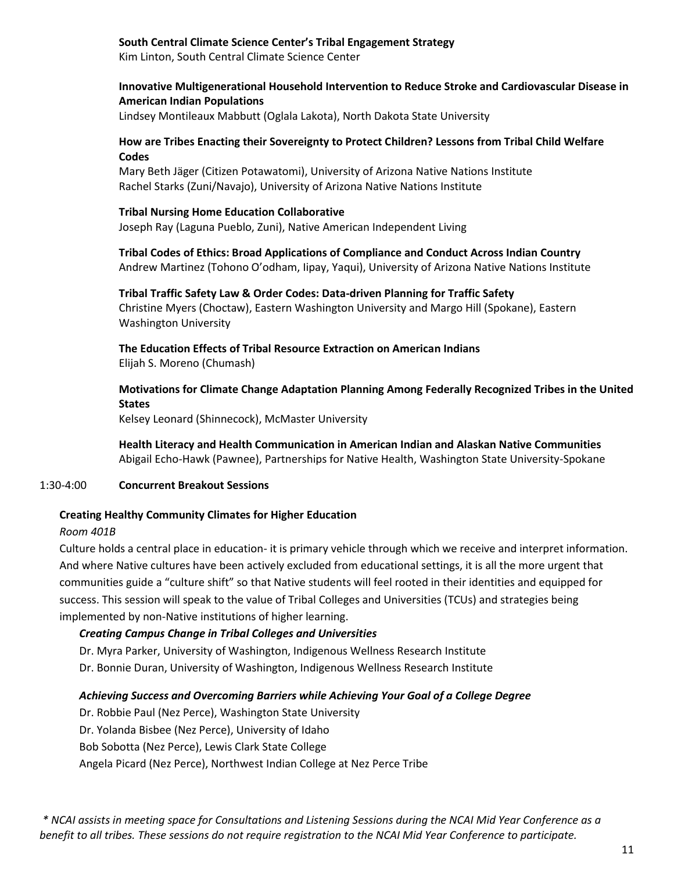#### **South Central Climate Science Center's Tribal Engagement Strategy**

Kim Linton, South Central Climate Science Center

#### **Innovative Multigenerational Household Intervention to Reduce Stroke and Cardiovascular Disease in American Indian Populations**

Lindsey Montileaux Mabbutt (Oglala Lakota), North Dakota State University

#### **How are Tribes Enacting their Sovereignty to Protect Children? Lessons from Tribal Child Welfare Codes**

Mary Beth Jäger (Citizen Potawatomi), University of Arizona Native Nations Institute Rachel Starks (Zuni/Navajo), University of Arizona Native Nations Institute

#### **Tribal Nursing Home Education Collaborative**

Joseph Ray (Laguna Pueblo, Zuni), Native American Independent Living

**Tribal Codes of Ethics: Broad Applications of Compliance and Conduct Across Indian Country** Andrew Martinez (Tohono O'odham, Iipay, Yaqui), University of Arizona Native Nations Institute

# **Tribal Traffic Safety Law & Order Codes: Data-driven Planning for Traffic Safety**

Christine Myers (Choctaw), Eastern Washington University and Margo Hill (Spokane), Eastern Washington University

#### **The Education Effects of Tribal Resource Extraction on American Indians** Elijah S. Moreno (Chumash)

# **Motivations for Climate Change Adaptation Planning Among Federally Recognized Tribes in the United States**

Kelsey Leonard (Shinnecock), McMaster University

**Health Literacy and Health Communication in American Indian and Alaskan Native Communities**  Abigail Echo-Hawk (Pawnee), Partnerships for Native Health, Washington State University-Spokane

#### 1:30-4:00 **Concurrent Breakout Sessions**

## **Creating Healthy Community Climates for Higher Education**

#### *Room 401B*

Culture holds a central place in education- it is primary vehicle through which we receive and interpret information. And where Native cultures have been actively excluded from educational settings, it is all the more urgent that communities guide a "culture shift" so that Native students will feel rooted in their identities and equipped for success. This session will speak to the value of Tribal Colleges and Universities (TCUs) and strategies being implemented by non-Native institutions of higher learning.

## *Creating Campus Change in Tribal Colleges and Universities*

- Dr. Myra Parker, University of Washington, Indigenous Wellness Research Institute
- Dr. Bonnie Duran, University of Washington, Indigenous Wellness Research Institute

#### *Achieving Success and Overcoming Barriers while Achieving Your Goal of a College Degree*

Dr. Robbie Paul (Nez Perce), Washington State University

Dr. Yolanda Bisbee (Nez Perce), University of Idaho

Bob Sobotta (Nez Perce), Lewis Clark State College

Angela Picard (Nez Perce), Northwest Indian College at Nez Perce Tribe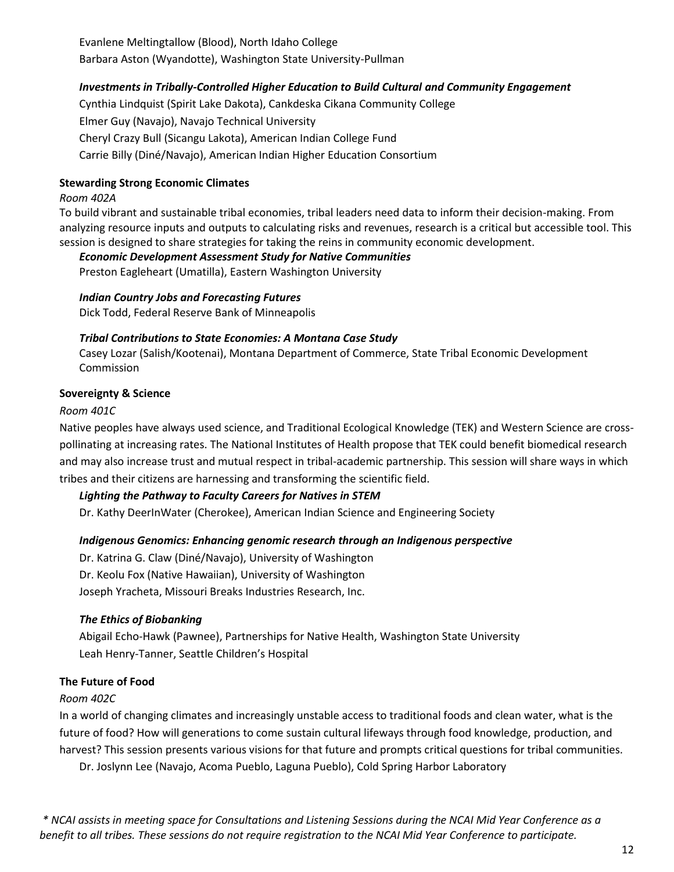Evanlene Meltingtallow (Blood), North Idaho College Barbara Aston (Wyandotte), Washington State University-Pullman

# *Investments in Tribally-Controlled Higher Education to Build Cultural and Community Engagement*

Cynthia Lindquist (Spirit Lake Dakota), Cankdeska Cikana Community College Elmer Guy (Navajo), Navajo Technical University Cheryl Crazy Bull (Sicangu Lakota), American Indian College Fund Carrie Billy (Diné/Navajo), American Indian Higher Education Consortium

# **Stewarding Strong Economic Climates**

#### *Room 402A*

To build vibrant and sustainable tribal economies, tribal leaders need data to inform their decision-making. From analyzing resource inputs and outputs to calculating risks and revenues, research is a critical but accessible tool. This session is designed to share strategies for taking the reins in community economic development.

## *Economic Development Assessment Study for Native Communities*

Preston Eagleheart (Umatilla), Eastern Washington University

## *Indian Country Jobs and Forecasting Futures*

Dick Todd, Federal Reserve Bank of Minneapolis

#### *Tribal Contributions to State Economies: A Montana Case Study*

Casey Lozar (Salish/Kootenai), Montana Department of Commerce, State Tribal Economic Development Commission

#### **Sovereignty & Science**

#### *Room 401C*

Native peoples have always used science, and Traditional Ecological Knowledge (TEK) and Western Science are crosspollinating at increasing rates. The National Institutes of Health propose that TEK could benefit biomedical research and may also increase trust and mutual respect in tribal-academic partnership. This session will share ways in which tribes and their citizens are harnessing and transforming the scientific field.

## *Lighting the Pathway to Faculty Careers for Natives in STEM*

Dr. Kathy DeerInWater (Cherokee), American Indian Science and Engineering Society

## *Indigenous Genomics: Enhancing genomic research through an Indigenous perspective*

Dr. Katrina G. Claw (Diné/Navajo), University of Washington Dr. Keolu Fox (Native Hawaiian), University of Washington Joseph Yracheta, Missouri Breaks Industries Research, Inc.

## *The Ethics of Biobanking*

Abigail Echo-Hawk (Pawnee), Partnerships for Native Health, Washington State University Leah Henry-Tanner, Seattle Children's Hospital

## **The Future of Food**

## *Room 402C*

In a world of changing climates and increasingly unstable access to traditional foods and clean water, what is the future of food? How will generations to come sustain cultural lifeways through food knowledge, production, and harvest? This session presents various visions for that future and prompts critical questions for tribal communities. Dr. Joslynn Lee (Navajo, Acoma Pueblo, Laguna Pueblo), Cold Spring Harbor Laboratory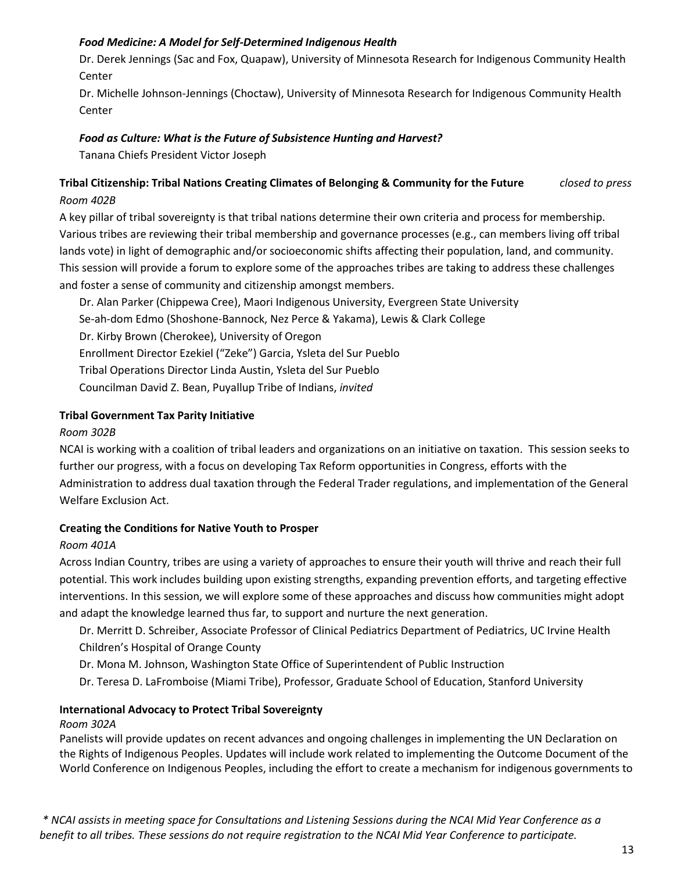# *Food Medicine: A Model for Self-Determined Indigenous Health*

Dr. Derek Jennings (Sac and Fox, Quapaw), University of Minnesota Research for Indigenous Community Health Center

Dr. Michelle Johnson-Jennings (Choctaw), University of Minnesota Research for Indigenous Community Health Center

# *Food as Culture: What is the Future of Subsistence Hunting and Harvest?*

Tanana Chiefs President Victor Joseph

# **Tribal Citizenship: Tribal Nations Creating Climates of Belonging & Community for the Future** *closed to press Room 402B*

A key pillar of tribal sovereignty is that tribal nations determine their own criteria and process for membership. Various tribes are reviewing their tribal membership and governance processes (e.g., can members living off tribal lands vote) in light of demographic and/or socioeconomic shifts affecting their population, land, and community. This session will provide a forum to explore some of the approaches tribes are taking to address these challenges and foster a sense of community and citizenship amongst members.

Dr. Alan Parker (Chippewa Cree), Maori Indigenous University, Evergreen State University Se-ah-dom Edmo (Shoshone-Bannock, Nez Perce & Yakama), Lewis & Clark College Dr. Kirby Brown (Cherokee), University of Oregon Enrollment Director Ezekiel ("Zeke") Garcia, Ysleta del Sur Pueblo Tribal Operations Director Linda Austin, Ysleta del Sur Pueblo Councilman David Z. Bean, Puyallup Tribe of Indians, *invited*

# **Tribal Government Tax Parity Initiative**

## *Room 302B*

NCAI is working with a coalition of tribal leaders and organizations on an initiative on taxation. This session seeks to further our progress, with a focus on developing Tax Reform opportunities in Congress, efforts with the Administration to address dual taxation through the Federal Trader regulations, and implementation of the General Welfare Exclusion Act.

## **Creating the Conditions for Native Youth to Prosper**

## *Room 401A*

Across Indian Country, tribes are using a variety of approaches to ensure their youth will thrive and reach their full potential. This work includes building upon existing strengths, expanding prevention efforts, and targeting effective interventions. In this session, we will explore some of these approaches and discuss how communities might adopt and adapt the knowledge learned thus far, to support and nurture the next generation.

Dr. Merritt D. Schreiber, Associate Professor of Clinical Pediatrics Department of Pediatrics, UC Irvine Health Children's Hospital of Orange County

- Dr. Mona M. Johnson, Washington State Office of Superintendent of Public Instruction
- Dr. Teresa D. LaFromboise (Miami Tribe), Professor, Graduate School of Education, Stanford University

## **International Advocacy to Protect Tribal Sovereignty**

#### *Room 302A*

Panelists will provide updates on recent advances and ongoing challenges in implementing the UN Declaration on the Rights of Indigenous Peoples. Updates will include work related to implementing the Outcome Document of the World Conference on Indigenous Peoples, including the effort to create a mechanism for indigenous governments to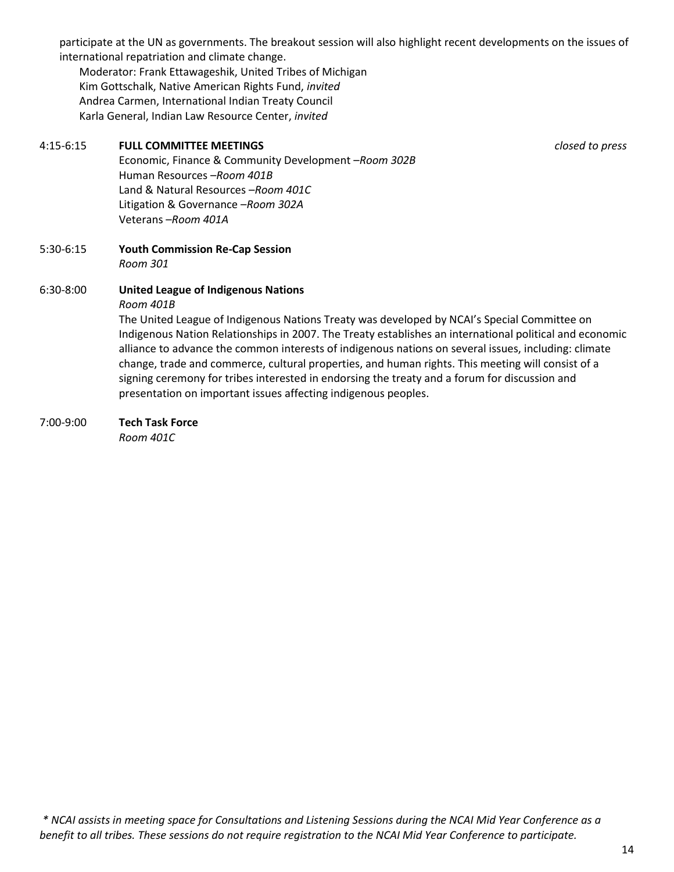participate at the UN as governments. The breakout session will also highlight recent developments on the issues of international repatriation and climate change.

Moderator: Frank Ettawageshik, United Tribes of Michigan Kim Gottschalk, Native American Rights Fund, *invited* Andrea Carmen, International Indian Treaty Council Karla General, Indian Law Resource Center, *invited*

# 4:15-6:15 **FULL COMMITTEE MEETINGS** *closed to press*

Economic, Finance & Community Development –*Room 302B* Human Resources –*Room 401B* Land & Natural Resources –*Room 401C* Litigation & Governance –*Room 302A* Veterans –*Room 401A*

5:30-6:15 **Youth Commission Re-Cap Session** *Room 301*

## 6:30-8:00 **United League of Indigenous Nations**

#### *Room 401B*

The United League of Indigenous Nations Treaty was developed by NCAI's Special Committee on Indigenous Nation Relationships in 2007. The Treaty establishes an international political and economic alliance to advance the common interests of indigenous nations on several issues, including: climate change, trade and commerce, cultural properties, and human rights. This meeting will consist of a signing ceremony for tribes interested in endorsing the treaty and a forum for discussion and presentation on important issues affecting indigenous peoples.

#### 7:00-9:00 **Tech Task Force**

*Room 401C*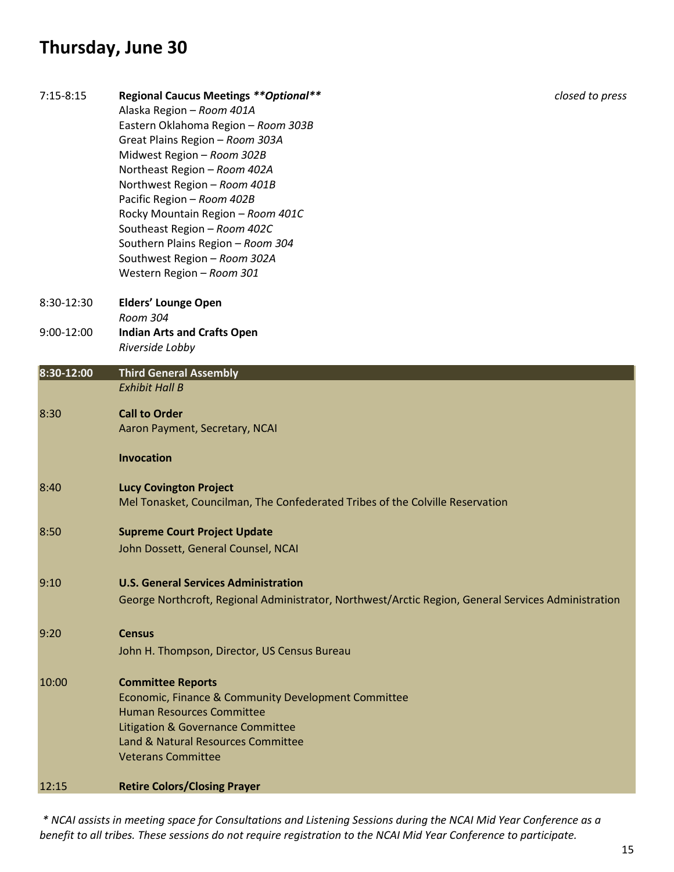# **Thursday, June 30**

| $7:15 - 8:15$ | <b>Regional Caucus Meetings ** Optional **</b><br>Alaska Region - Room 401A<br>Eastern Oklahoma Region - Room 303B<br>Great Plains Region - Room 303A<br>Midwest Region - Room 302B<br>Northeast Region - Room 402A<br>Northwest Region - Room 401B<br>Pacific Region - Room 402B<br>Rocky Mountain Region - Room 401C<br>Southeast Region - Room 402C<br>Southern Plains Region - Room 304<br>Southwest Region - Room 302A<br>Western Region - Room 301 | closed to press |
|---------------|----------------------------------------------------------------------------------------------------------------------------------------------------------------------------------------------------------------------------------------------------------------------------------------------------------------------------------------------------------------------------------------------------------------------------------------------------------|-----------------|
| 8:30-12:30    | <b>Elders' Lounge Open</b>                                                                                                                                                                                                                                                                                                                                                                                                                               |                 |
| 9:00-12:00    | Room 304<br><b>Indian Arts and Crafts Open</b><br>Riverside Lobby                                                                                                                                                                                                                                                                                                                                                                                        |                 |
| 8:30-12:00    | <b>Third General Assembly</b><br><b>Exhibit Hall B</b>                                                                                                                                                                                                                                                                                                                                                                                                   |                 |
| 8:30          | <b>Call to Order</b><br>Aaron Payment, Secretary, NCAI                                                                                                                                                                                                                                                                                                                                                                                                   |                 |
|               | <b>Invocation</b>                                                                                                                                                                                                                                                                                                                                                                                                                                        |                 |
| 8:40          | <b>Lucy Covington Project</b><br>Mel Tonasket, Councilman, The Confederated Tribes of the Colville Reservation                                                                                                                                                                                                                                                                                                                                           |                 |
| 8:50          | <b>Supreme Court Project Update</b><br>John Dossett, General Counsel, NCAI                                                                                                                                                                                                                                                                                                                                                                               |                 |
| 9:10          | <b>U.S. General Services Administration</b><br>George Northcroft, Regional Administrator, Northwest/Arctic Region, General Services Administration                                                                                                                                                                                                                                                                                                       |                 |
| 9:20          | <b>Census</b><br>John H. Thompson, Director, US Census Bureau                                                                                                                                                                                                                                                                                                                                                                                            |                 |
| 10:00         | <b>Committee Reports</b><br>Economic, Finance & Community Development Committee<br><b>Human Resources Committee</b><br>Litigation & Governance Committee<br>Land & Natural Resources Committee<br><b>Veterans Committee</b>                                                                                                                                                                                                                              |                 |
| 12:15         | <b>Retire Colors/Closing Prayer</b>                                                                                                                                                                                                                                                                                                                                                                                                                      |                 |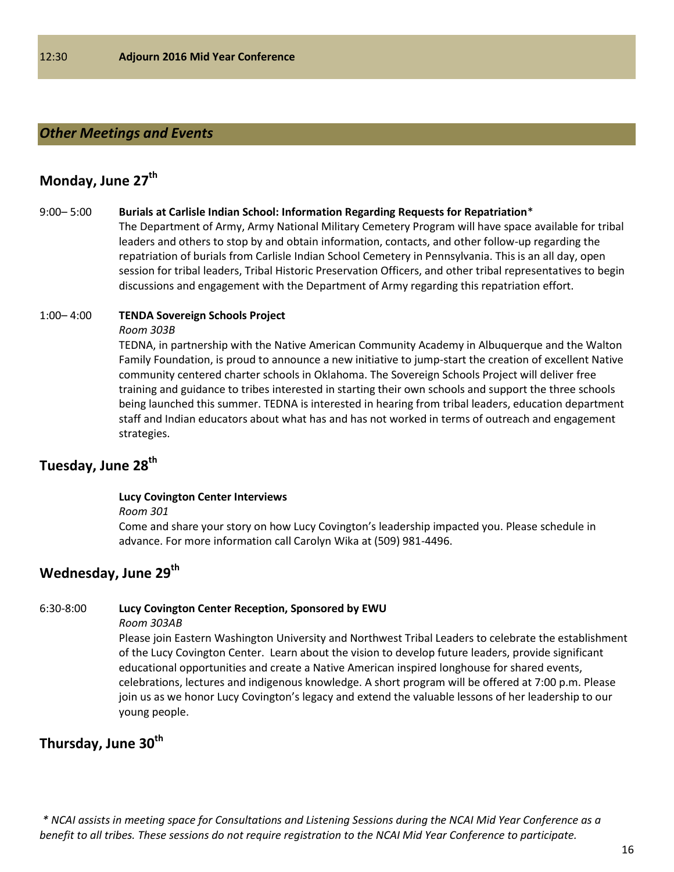## *Other Meetings and Events*

# **Monday, June 27th**

#### 9:00– 5:00 **Burials at Carlisle Indian School: Information Regarding Requests for Repatriation**\*

The Department of Army, Army National Military Cemetery Program will have space available for tribal leaders and others to stop by and obtain information, contacts, and other follow-up regarding the repatriation of burials from Carlisle Indian School Cemetery in Pennsylvania. This is an all day, open session for tribal leaders, Tribal Historic Preservation Officers, and other tribal representatives to begin discussions and engagement with the Department of Army regarding this repatriation effort.

#### 1:00– 4:00 **TENDA Sovereign Schools Project**

#### *Room 303B*

TEDNA, in partnership with the Native American Community Academy in Albuquerque and the Walton Family Foundation, is proud to announce a new initiative to jump-start the creation of excellent Native community centered charter schools in Oklahoma. The Sovereign Schools Project will deliver free training and guidance to tribes interested in starting their own schools and support the three schools being launched this summer. TEDNA is interested in hearing from tribal leaders, education department staff and Indian educators about what has and has not worked in terms of outreach and engagement strategies.

# **Tuesday, June 28th**

#### **Lucy Covington Center Interviews**

*Room 301*

Come and share your story on how Lucy Covington's leadership impacted you. Please schedule in advance. For more information call Carolyn Wika at (509) 981-4496.

# **Wednesday, June 29 th**

#### 6:30-8:00 **Lucy Covington Center Reception, Sponsored by EWU**

*Room 303AB*

Please join Eastern Washington University and Northwest Tribal Leaders to celebrate the establishment of the Lucy Covington Center. Learn about the vision to develop future leaders, provide significant educational opportunities and create a Native American inspired longhouse for shared events, celebrations, lectures and indigenous knowledge. A short program will be offered at 7:00 p.m. Please join us as we honor Lucy Covington's legacy and extend the valuable lessons of her leadership to our young people.

# **Thursday, June 30th**